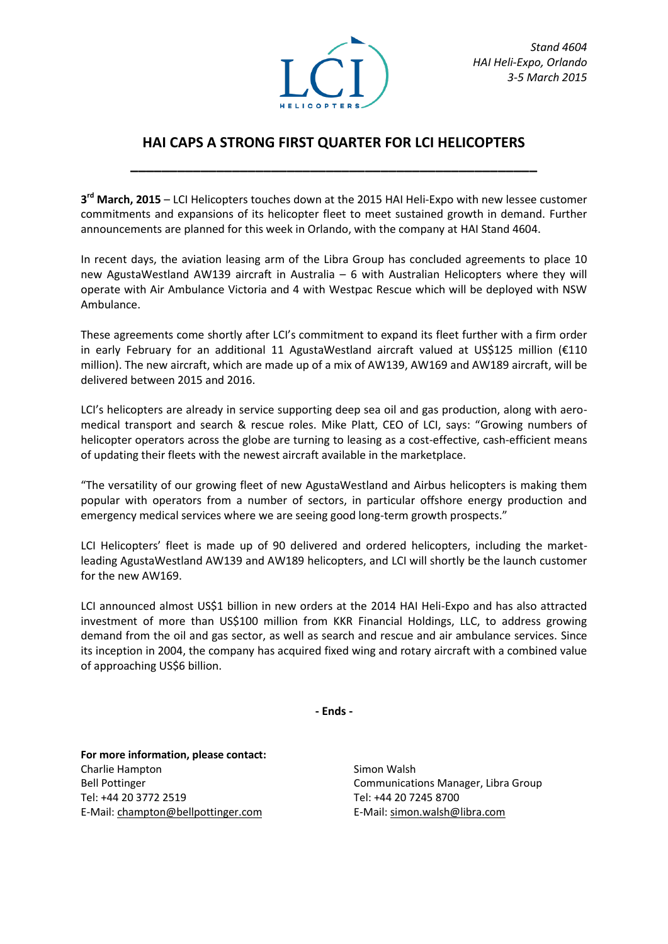

## **HAI CAPS A STRONG FIRST QUARTER FOR LCI HELICOPTERS**

**\_\_\_\_\_\_\_\_\_\_\_\_\_\_\_\_\_\_\_\_\_\_\_\_\_\_\_\_\_\_\_\_\_\_\_\_\_\_\_\_\_\_\_\_\_\_\_\_\_\_\_\_**

**3 rd March, 2015** – LCI Helicopters touches down at the 2015 HAI Heli-Expo with new lessee customer commitments and expansions of its helicopter fleet to meet sustained growth in demand. Further announcements are planned for this week in Orlando, with the company at HAI Stand 4604.

In recent days, the aviation leasing arm of the Libra Group has concluded agreements to place 10 new AgustaWestland AW139 aircraft in Australia – 6 with Australian Helicopters where they will operate with Air Ambulance Victoria and 4 with Westpac Rescue which will be deployed with NSW Ambulance.

These agreements come shortly after LCI's commitment to expand its fleet further with a firm order in early February for an additional 11 AgustaWestland aircraft valued at US\$125 million (€110 million). The new aircraft, which are made up of a mix of AW139, AW169 and AW189 aircraft, will be delivered between 2015 and 2016.

LCI's helicopters are already in service supporting deep sea oil and gas production, along with aeromedical transport and search & rescue roles. Mike Platt, CEO of LCI, says: "Growing numbers of helicopter operators across the globe are turning to leasing as a cost-effective, cash-efficient means of updating their fleets with the newest aircraft available in the marketplace.

"The versatility of our growing fleet of new AgustaWestland and Airbus helicopters is making them popular with operators from a number of sectors, in particular offshore energy production and emergency medical services where we are seeing good long-term growth prospects."

LCI Helicopters' fleet is made up of 90 delivered and ordered helicopters, including the marketleading AgustaWestland AW139 and AW189 helicopters, and LCI will shortly be the launch customer for the new AW169.

LCI announced almost US\$1 billion in new orders at the 2014 HAI Heli-Expo and has also attracted investment of more than US\$100 million from KKR Financial Holdings, LLC, to address growing demand from the oil and gas sector, as well as search and rescue and air ambulance services. Since its inception in 2004, the company has acquired fixed wing and rotary aircraft with a combined value of approaching US\$6 billion.

**- Ends -**

**For more information, please contact:** Charlie Hampton Bell Pottinger Tel: +44 20 3772 2519 E-Mail: champton@bellpottinger.com

Simon Walsh Communications Manager, Libra Group Tel: +44 20 7245 8700 E-Mail: simon.walsh@libra.com